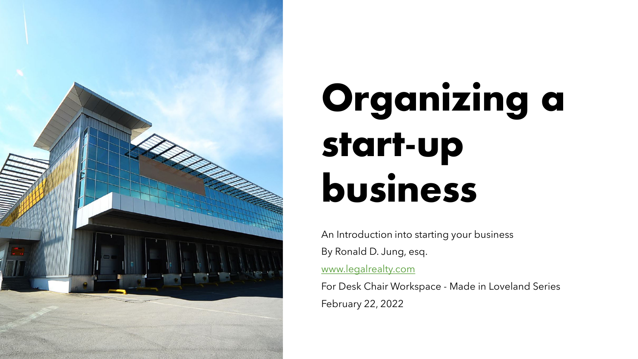

# **Organizing a start-up business**

An Introduction into starting your business By Ronald D. Jung, esq. [www.legalrealty.com](http://www.legalrealty.com/) For Desk Chair Workspace - Made in Loveland Series

February 22, 2022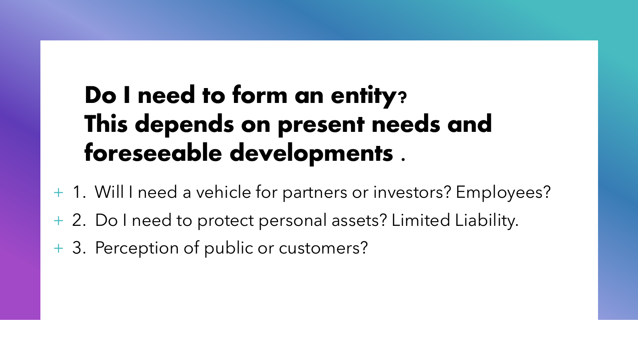#### **Do I need to form an entity? This depends on present needs and foreseeable developments .**

- + 1. Will I need a vehicle for partners or investors? Employees?
- + 2. Do I need to protect personal assets? Limited Liability.
- + 3. Perception of public or customers?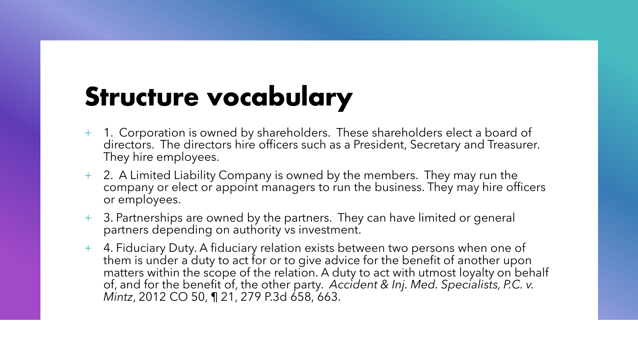## **Structure vocabulary**

- + 1. Corporation is owned by shareholders. These shareholders elect a board of directors. The directors hire officers such as a President, Secretary and Treasurer. They hire employees.
- + 2. A Limited Liability Company is owned by the members. They may run the company or elect or appoint managers to run the business. They may hire officers or employees.
- + 3. Partnerships are owned by the partners. They can have limited or general partners depending on authority vs investment.
- + 4. Fiduciary Duty. A fiduciary relation exists between two persons when one of them is under a duty to act for or to give advice for the benefit of another upon matters within the scope of the relation. A duty to act with utmost loyalty on behalf of, and for the benefit of, the other party. *Accident & Inj. Med. Specialists, P.C. v. Mintz*, 2012 CO 50, ¶ 21, 279 P.3d 658, 663.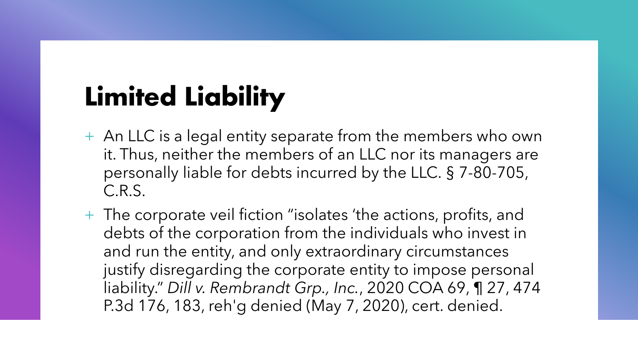## **Limited Liability**

- + An LLC is a legal entity separate from the members who own it. Thus, neither the members of an LLC nor its managers are personally liable for debts incurred by the LLC. § 7-80-705, C.R.S.
- + The corporate veil fiction "isolates 'the actions, profits, and debts of the corporation from the individuals who invest in and run the entity, and only extraordinary circumstances justify disregarding the corporate entity to impose personal liability." *Dill v. Rembrandt Grp., Inc.*, 2020 COA 69, ¶ 27, 474 P.3d 176, 183, reh'g denied (May 7, 2020), cert. denied.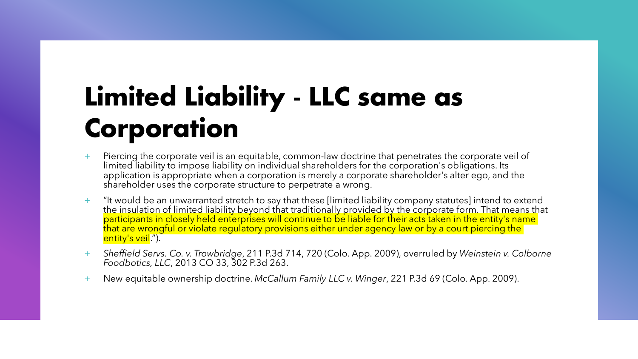## **Limited Liability - LLC same as Corporation**

- + Piercing the corporate veil is an equitable, common-law doctrine that penetrates the corporate veil of limited liability to impose liability on individual shareholders for the corporation's obligations. Its application is appropriate when a corporation is merely a corporate shareholder's alter ego, and the shareholder uses the corporate structure to perpetrate a wrong.
- + "It would be an unwarranted stretch to say that these [limited liability company statutes] intend to extend the insulation of limited liability beyond that traditionally provided by the corporate form. That means that participants in closely held enterprises will continue to be liable for their acts taken in the entity's name that are wrongful or violate regulatory provisions either under agency law or by a court piercing the entity's veil.").
- + *Sheffield Servs. Co. v. Trowbridge*, 211 P.3d 714, 720 (Colo. App. 2009), overruled by *Weinstein v. Colborne Foodbotics, LLC*, 2013 CO 33, 302 P.3d 263.
- + New equitable ownership doctrine. *McCallum Family LLC v. Winger*, 221 P.3d 69 (Colo. App. 2009).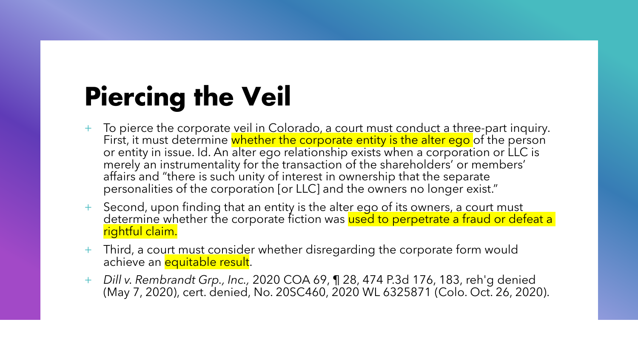## **Piercing the Veil**

- To pierce the corporate veil in Colorado, a court must conduct a three-part inquiry. First, it must determine whether the corporate entity is the alter ego of the person or entity in issue. Id. An alter ego relationship exists when a corporation or LLC is merely an instrumentality for the transaction of the shareholders' or members' affairs and "there is such unity of interest in ownership that the separate personalities of the corporation [or LLC] and the owners no longer exist."
- + Second, upon finding that an entity is the alter ego of its owners, a court must determine whether the corporate fiction was used to perpetrate a fraud or defeat a rightful claim.
- + Third, a court must consider whether disregarding the corporate form would achieve an **equitable result**.
- + *Dill v. Rembrandt Grp., Inc.,* 2020 COA 69, ¶ 28, 474 P.3d 176, 183, reh'g denied (May 7, 2020), cert. denied, No. 20SC460, 2020 WL 6325871 (Colo. Oct. 26, 2020).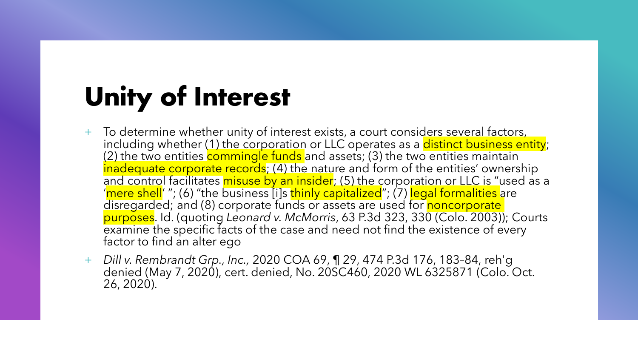#### **Unity of Interest**

- + To determine whether unity of interest exists, a court considers several factors, including whether (1) the corporation or LLC operates as a distinct business entity; (2) the two entities commingle funds and assets; (3) the two entities maintain inadequate corporate records; (4) the nature and form of the entities' ownership and control facilitates misuse by an insider; (5) the corporation or LLC is "used as a 'mere shell' "; (6) "the business [i]s thinly capitalized"; (7) legal formalities are disregarded; and (8) corporate funds or assets are used for noncorporate purposes. Id. (quoting *Leonard v. McMorris*, 63 P.3d 323, 330 (Colo. 2003)); Courts examine the specific facts of the case and need not find the existence of every factor to find an alter ego
- + *Dill v. Rembrandt Grp., Inc.,* 2020 COA 69, ¶ 29, 474 P.3d 176, 183–84, reh'g denied (May 7, 2020), cert. denied, No. 20SC460, 2020 WL 6325871 (Colo. Oct. 26, 2020).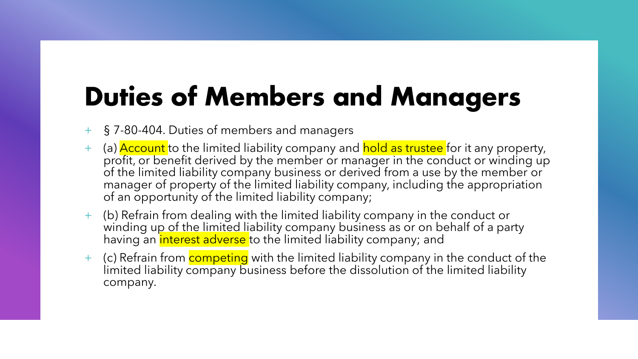#### **Duties of Members and Managers**

- § 7-80-404. Duties of members and managers
- (a) **Account** to the limited liability company and hold as trustee for it any property, profit, or benefit derived by the member or manager in the conduct or winding up of the limited liability company business or derived from a use by the member or manager of property of the limited liability company, including the appropriation of an opportunity of the limited liability company;
- + (b) Refrain from dealing with the limited liability company in the conduct or winding up of the limited liability company business as or on behalf of a party having an interest adverse to the limited liability company; and
- + (c) Refrain from **competing** with the limited liability company in the conduct of the limited liability company business before the dissolution of the limited liability company.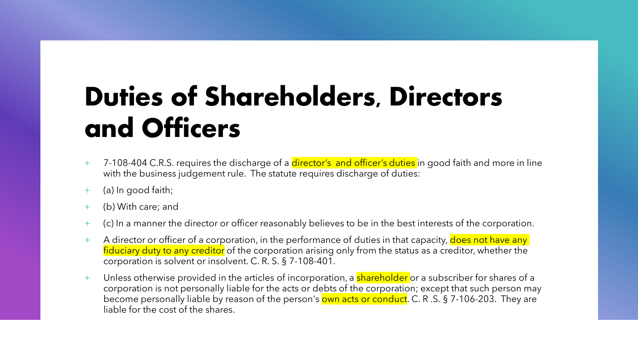## **Duties of Shareholders, Directors and Officers**

- + 7-108-404 C.R.S. requires the discharge of a director's and officer's duties in good faith and more in line with the business judgement rule. The statute requires discharge of duties:
- + (a) In good faith;
- (b) With care; and
- + (c) In a manner the director or officer reasonably believes to be in the best interests of the corporation.
- + A director or officer of a corporation, in the performance of duties in that capacity, does not have any fiduciary duty to any creditor of the corporation arising only from the status as a creditor, whether the corporation is solvent or insolvent. C. R. S. § 7-108-401.
- + Unless otherwise provided in the articles of incorporation, a shareholder or a subscriber for shares of a corporation is not personally liable for the acts or debts of the corporation; except that such person may become personally liable by reason of the person's own acts or conduct. C. R.S. § 7-106-203. They are liable for the cost of the shares.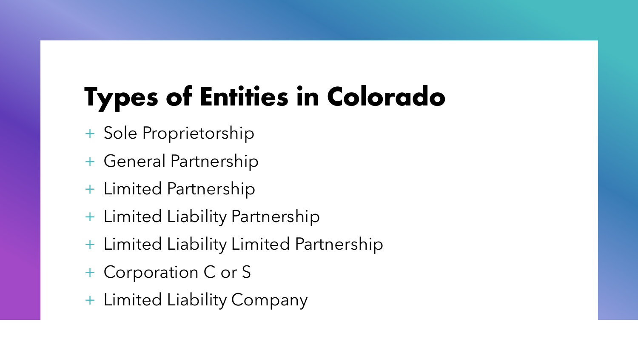# **Types of Entities in Colorado**

- + Sole Proprietorship
- + General Partnership
- + Limited Partnership
- + Limited Liability Partnership
- + Limited Liability Limited Partnership
- + Corporation C or S
- + Limited Liability Company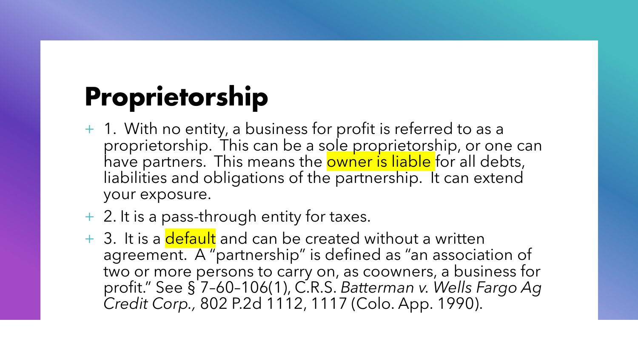## **Proprietorship**

- + 1. With no entity, a business for profit is referred to as a proprietorship. This can be a sole proprietorship, or one can have partners. This means the **owner is liable** for all debts, liabilities and obligations of the partnership. It can extend your exposure.
- + 2. It is a pass-through entity for taxes.
- + 3. It is a default and can be created without a written agreement. A "partnership" is defined as "an association of two or more persons to carry on, as coowners, a business for profit." See § 7–60–106(1), C.R.S. *Batterman v. Wells Fargo Ag Credit Corp.,* 802 P.2d 1112, 1117 (Colo. App. 1990).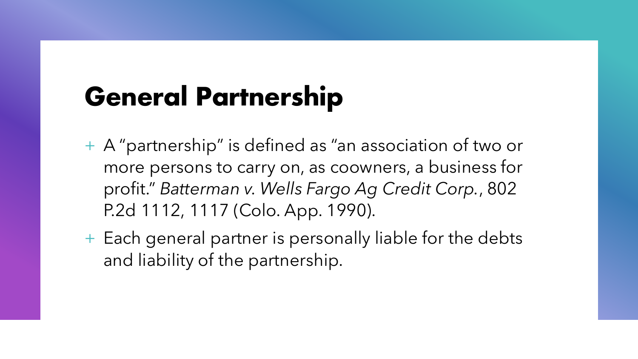#### **General Partnership**

- + A "partnership" is defined as "an association of two or more persons to carry on, as coowners, a business for profit." *Batterman v. Wells Fargo Ag Credit Corp.*, 802 P.2d 1112, 1117 (Colo. App. 1990).
- + Each general partner is personally liable for the debts and liability of the partnership.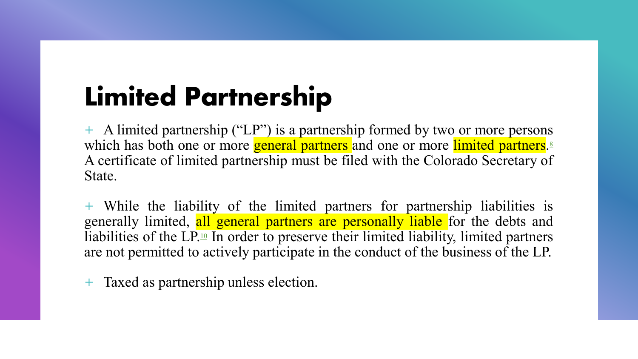## **Limited Partnership**

+ A limited partnership ("LP") is a partnership formed by two or more persons which has both one or more general partners and one or more limited partners.<sup>8</sup> A certificate of limited partnership must be filed with the Colorado Secretary of State.

+ While the liability of the limited partners for partnership liabilities is generally limited, all general partners are personally liable for the debts and liabilities of the LP.<sup>10</sup> In order to preserve their limited liability, limited partners are not permitted to actively participate in the conduct of the business of the LP.

+ Taxed as partnership unless election.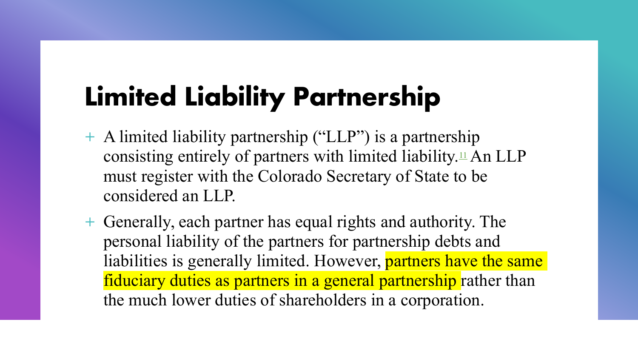## **Limited Liability Partnership**

- + A limited liability partnership ("LLP") is a partnership consisting entirely of partners with limited liability. $\perp$  An LLP must register with the Colorado Secretary of State to be considered an LLP.
- + Generally, each partner has equal rights and authority. The personal liability of the partners for partnership debts and liabilities is generally limited. However, partners have the same fiduciary duties as partners in a general partnership rather than the much lower duties of shareholders in a corporation.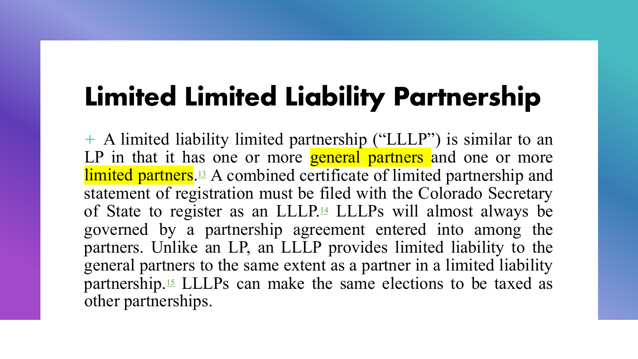#### **Limited Limited Liability Partnership**

+ A limited liability limited partnership ("LLLP") is similar to an LP in that it has one or more **general partners** and one or more limited partners.<sup>13</sup> A combined certificate of limited partnership and statement of registration must be filed with the Colorado Secretary of State to register as an LLLP.<sup>14</sup> LLLPs will almost always be governed by a partnership agreement entered into among the partners. Unlike an LP, an LLLP provides limited liability to the general partners to the same extent as a partner in a limited liability partnership.15 LLLPs can make the same elections to be taxed as other partnerships.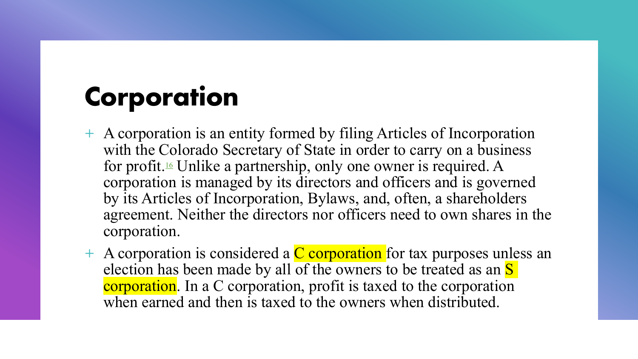## **Corporation**

- + A corporation is an entity formed by filing Articles of Incorporation with the Colorado Secretary of State in order to carry on a business for profit.16 Unlike a partnership, only one owner is required. A corporation is managed by its directors and officers and is governed by its Articles of Incorporation, Bylaws, and, often, a shareholders agreement. Neither the directors nor officers need to own shares in the corporation.
- $+$  A corporation is considered a  $C$  corporation for tax purposes unless an election has been made by all of the owners to be treated as an S corporation. In a C corporation, profit is taxed to the corporation when earned and then is taxed to the owners when distributed.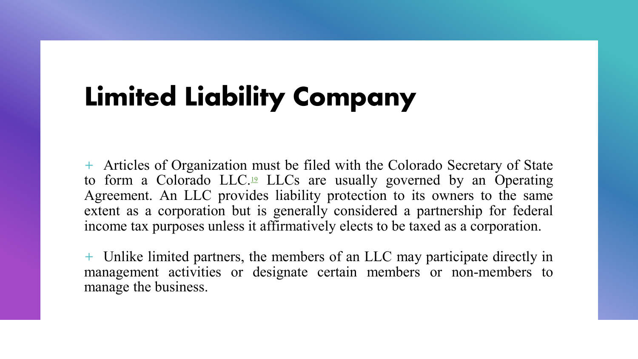## **Limited Liability Company**

+ Articles of Organization must be filed with the Colorado Secretary of State to form a Colorado LLC.19 LLCs are usually governed by an Operating Agreement. An LLC provides liability protection to its owners to the same extent as a corporation but is generally considered a partnership for federal income tax purposes unless it affirmatively elects to be taxed as a corporation.

+ Unlike limited partners, the members of an LLC may participate directly in management activities or designate certain members or non-members to manage the business.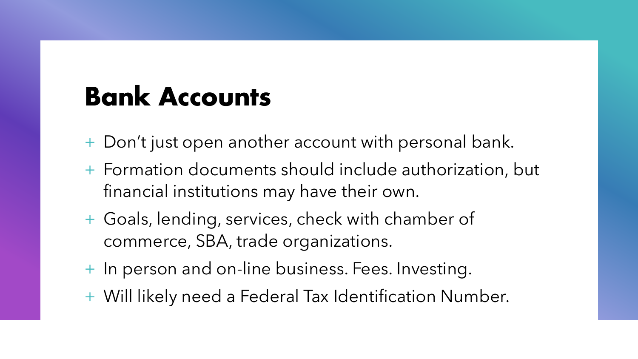#### **Bank Accounts**

- + Don't just open another account with personal bank.
- + Formation documents should include authorization, but financial institutions may have their own.
- + Goals, lending, services, check with chamber of commerce, SBA, trade organizations.
- + In person and on-line business. Fees. Investing.
- + Will likely need a Federal Tax Identification Number.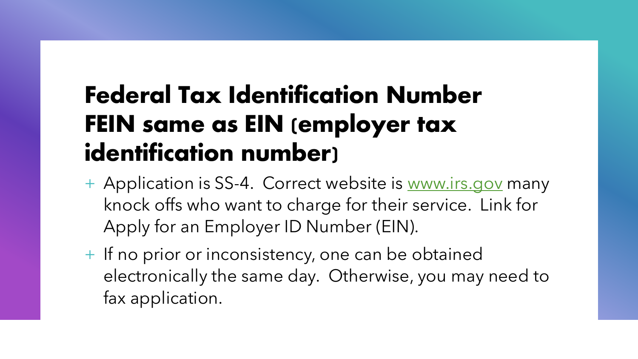#### **Federal Tax Identification Number FEIN same as EIN (employer tax identification number)**

- + Application is SS-4. Correct website is [www.irs.gov](http://www.irs.gov/) many knock offs who want to charge for their service. Link for Apply for an Employer ID Number (EIN).
- + If no prior or inconsistency, one can be obtained electronically the same day. Otherwise, you may need to fax application.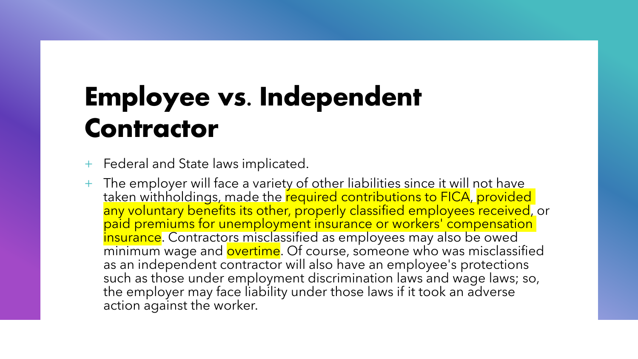## **Employee vs. Independent Contractor**

+ Federal and State laws implicated.

The employer will face a variety of other liabilities since it will not have taken withholdings, made the required contributions to FICA, provided any voluntary benefits its other, properly classified employees received, or paid premiums for unemployment insurance or workers' compensation insurance. Contractors misclassified as employees may also be owed minimum wage and overtime. Of course, someone who was misclassified as an independent contractor will also have an employee's protections such as those under employment discrimination laws and wage laws; so, the employer may face liability under those laws if it took an adverse action against the worker.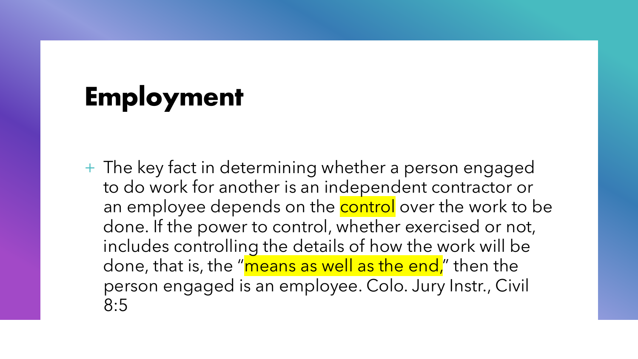#### **Employment**

+ The key fact in determining whether a person engaged to do work for another is an independent contractor or an employee depends on the **control** over the work to be done. If the power to control, whether exercised or not, includes controlling the details of how the work will be done, that is, the "means as well as the end," then the person engaged is an employee. Colo. Jury Instr., Civil 8:5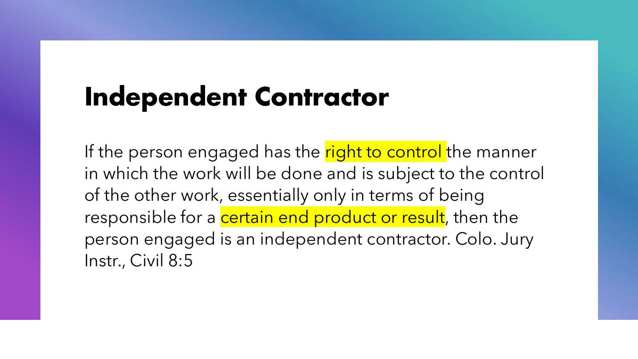#### **Independent Contractor**

If the person engaged has the right to control the manner in which the work will be done and is subject to the control of the other work, essentially only in terms of being responsible for a certain end product or result, then the person engaged is an independent contractor. Colo. Jury Instr., Civil 8:5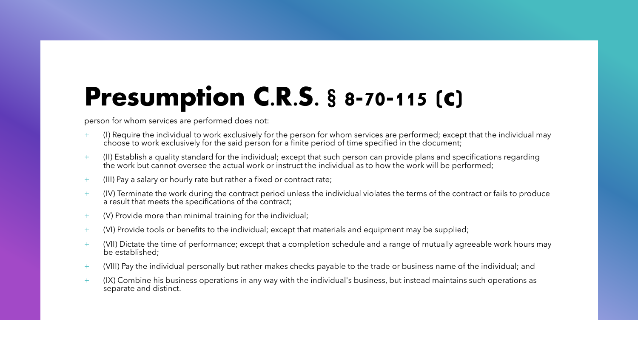#### **Presumption C.R.S. § 8-70-115 (c)**

person for whom services are performed does not:

- + (I) Require the individual to work exclusively for the person for whom services are performed; except that the individual may choose to work exclusively for the said person for a finite period of time specified in the document;
- + (II) Establish a quality standard for the individual; except that such person can provide plans and specifications regarding the work but cannot oversee the actual work or instruct the individual as to how the work will be performed;
- + (III) Pay a salary or hourly rate but rather a fixed or contract rate;
- + (IV) Terminate the work during the contract period unless the individual violates the terms of the contract or fails to produce a result that meets the specifications of the contract;
- + (V) Provide more than minimal training for the individual;
- + (VI) Provide tools or benefits to the individual; except that materials and equipment may be supplied;
- $+$  (VII) Dictate the time of performance; except that a completion schedule and a range of mutually agreeable work hours may be established;
- + (VIII) Pay the individual personally but rather makes checks payable to the trade or business name of the individual; and
- + (IX) Combine his business operations in any way with the individual's business, but instead maintains such operations as separate and distinct.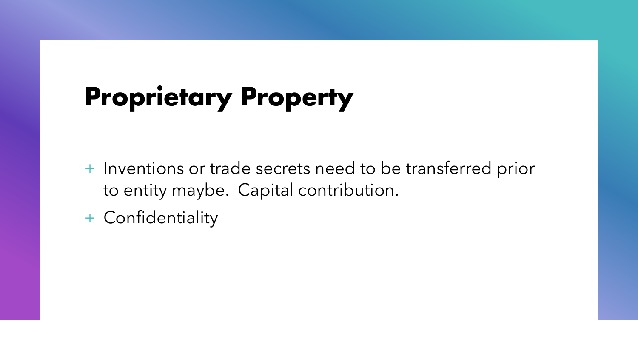#### **Proprietary Property**

- + Inventions or trade secrets need to be transferred prior to entity maybe. Capital contribution.
- + Confidentiality